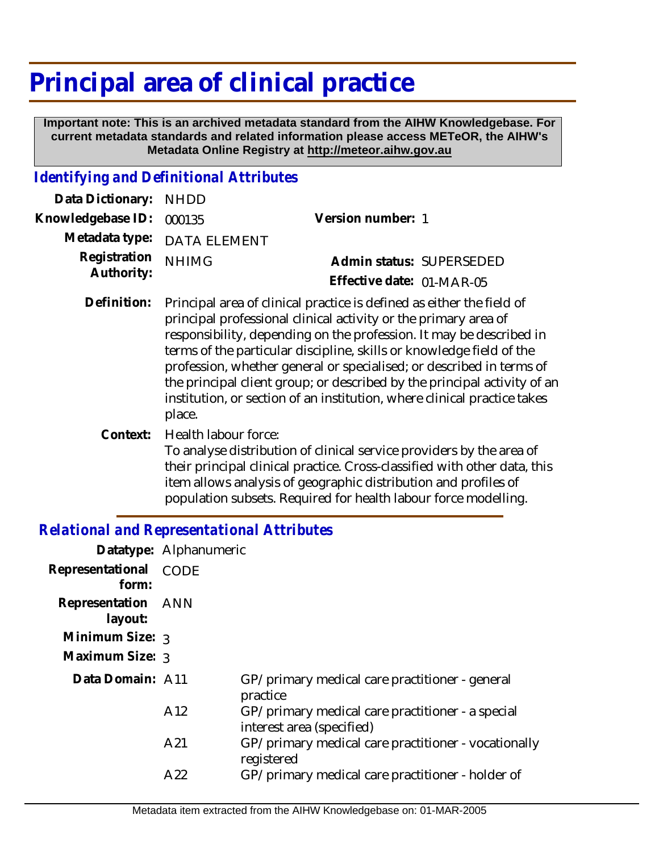# **Principal area of clinical practice**

 **Important note: This is an archived metadata standard from the AIHW Knowledgebase. For current metadata standards and related information please access METeOR, the AIHW's Metadata Online Registry at http://meteor.aihw.gov.au**

#### *Identifying and Definitional Attributes*

| Data Dictionary: NHDD            |                             |                           |  |
|----------------------------------|-----------------------------|---------------------------|--|
| Knowledgebase ID: 000135         |                             | Version number: 1         |  |
|                                  | Metadata type: DATA ELEMENT |                           |  |
| Registration NHIMG<br>Authority: |                             | Admin status: SUPERSEDED  |  |
|                                  |                             | Effective date: 01-MAR-05 |  |

- Principal area of clinical practice is defined as either the field of principal professional clinical activity or the primary area of responsibility, depending on the profession. It may be described in terms of the particular discipline, skills or knowledge field of the profession, whether general or specialised; or described in terms of the principal client group; or described by the principal activity of an institution, or section of an institution, where clinical practice takes place. **Definition:**
	- Health labour force: To analyse distribution of clinical service providers by the area of their principal clinical practice. Cross-classified with other data, this item allows analysis of geographic distribution and profiles of population subsets. Required for health labour force modelling. **Context:**

### *Relational and Representational Attributes*

|                               | Datatype: Alphanumeric |                                                                               |
|-------------------------------|------------------------|-------------------------------------------------------------------------------|
| Representational<br>form:     | CODE                   |                                                                               |
| Representation ANN<br>layout: |                        |                                                                               |
| Minimum Size: 3               |                        |                                                                               |
| Maximum Size: 3               |                        |                                                                               |
| Data Domain: A11              |                        | GP/primary medical care practitioner - general<br>practice                    |
|                               | A12                    | GP/primary medical care practitioner - a special<br>interest area (specified) |
|                               | A21                    | GP/primary medical care practitioner - vocationally<br>registered             |
|                               | A22                    | GP/primary medical care practitioner - holder of                              |
|                               |                        |                                                                               |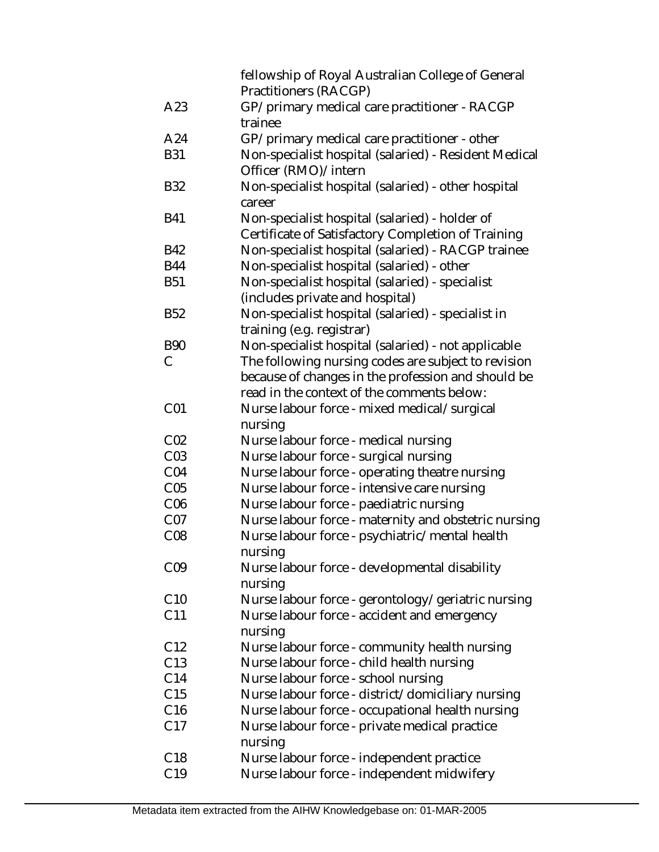|                 | fellowship of Royal Australian College of General<br>Practitioners (RACGP) |
|-----------------|----------------------------------------------------------------------------|
| A23             | GP/primary medical care practitioner - RACGP<br>trainee                    |
| A24             | GP/primary medical care practitioner - other                               |
| <b>B31</b>      | Non-specialist hospital (salaried) - Resident Medical                      |
|                 | Officer (RMO)/intern                                                       |
| <b>B32</b>      | Non-specialist hospital (salaried) - other hospital                        |
|                 | career                                                                     |
| <b>B41</b>      | Non-specialist hospital (salaried) - holder of                             |
|                 | Certificate of Satisfactory Completion of Training                         |
| <b>B42</b>      | Non-specialist hospital (salaried) - RACGP trainee                         |
| <b>B44</b>      | Non-specialist hospital (salaried) - other                                 |
| <b>B51</b>      | Non-specialist hospital (salaried) - specialist                            |
|                 | (includes private and hospital)                                            |
| <b>B52</b>      | Non-specialist hospital (salaried) - specialist in                         |
|                 | training (e.g. registrar)                                                  |
| <b>B90</b>      | Non-specialist hospital (salaried) - not applicable                        |
| C               | The following nursing codes are subject to revision                        |
|                 | because of changes in the profession and should be                         |
|                 | read in the context of the comments below:                                 |
| CO <sub>1</sub> | Nurse labour force - mixed medical/surgical                                |
|                 | nursing                                                                    |
| CO <sub>2</sub> | Nurse labour force - medical nursing                                       |
| CO <sub>3</sub> | Nurse labour force - surgical nursing                                      |
| CO <sub>4</sub> | Nurse labour force - operating theatre nursing                             |
| C <sub>05</sub> | Nurse labour force - intensive care nursing                                |
| C <sub>06</sub> | Nurse labour force - paediatric nursing                                    |
| CO <sub>7</sub> | Nurse labour force - maternity and obstetric nursing                       |
| CO8             | Nurse labour force - psychiatric/mental health                             |
|                 | nursing                                                                    |
| CO <sub>9</sub> | Nurse labour force - developmental disability                              |
|                 | nursing                                                                    |
| C10             | Nurse labour force - gerontology/geriatric nursing                         |
| C11             | Nurse labour force - accident and emergency                                |
|                 | nursing                                                                    |
| C12             | Nurse labour force - community health nursing                              |
| C13             | Nurse labour force - child health nursing                                  |
| C14             | Nurse labour force - school nursing                                        |
| C15             | Nurse labour force - district/domiciliary nursing                          |
| C16             | Nurse labour force - occupational health nursing                           |
| C17             | Nurse labour force - private medical practice                              |
|                 | nursing                                                                    |
| C <sub>18</sub> | Nurse labour force - independent practice                                  |
| C19             | Nurse labour force - independent midwifery                                 |
|                 |                                                                            |